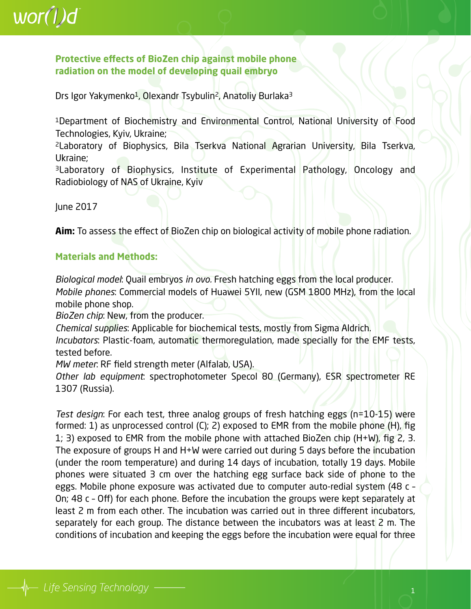### $wor(l)d$

#### **Protective effects of BioZen chip against mobile phone radiation on the model of developing quail embryo**

Drs Igor Yakymenko<sup>1</sup>, Olexandr Tsybulin<sup>2</sup>, Anatoliy Burlaka<sup>3</sup>

1Department of Biochemistry and Environmental Control, National University of Food Technologies, Kyiv, Ukraine;

2Laboratory of Biophysics, Bila Tserkva National Agrarian University, Bila Tserkva, Ukraine;

3Laboratory of Biophysics, Institute of Experimental Pathology, Oncology and Radiobiology of NAS of Ukraine, Kyiv

June 2017

**Aim:** To assess the effect of BioZen chip on biological activity of mobile phone radiation.

#### **Materials and Methods:**

*Biological model*: Quail embryos *in ovo.* Fresh hatching eggs from the local producer. *Mobile phones*: Commercial models of Huawei 5YII, new (GSM 1800 MHz), from the local mobile phone shop.

*BioZen chip*: New, from the producer.

*Chemical supplies*: Applicable for biochemical tests, mostly from Sigma Aldrich.

*Incubators*: Plastic-foam, automatic thermoregulation, made specially for the EMF tests, tested before.

*MW meter*: RF field strength meter (Alfalab, USA).

*Other lab equipment*: spectrophotometer Specol 80 (Germany), ESR spectrometer RE 1307 (Russia).

*Test design*: For each test, three analog groups of fresh hatching eggs (n=10-15) were formed: 1) as unprocessed control (C); 2) exposed to EMR from the mobile phone (H), fig 1; 3) exposed to EMR from the mobile phone with attached BioZen chip  $(H+W)$ , fig 2, 3. The exposure of groups H and H+W were carried out during 5 days before the incubation (under the room temperature) and during 14 days of incubation, totally 19 days. Mobile phones were situated 3 cm over the hatching egg surface back side of phone to the eggs. Mobile phone exposure was activated due to computer auto-redial system (48 c – On; 48 c – Off) for each phone. Before the incubation the groups were kept separately at least 2 m from each other. The incubation was carried out in three different incubators, separately for each group. The distance between the incubators was at least 2 m. The conditions of incubation and keeping the eggs before the incubation were equal for three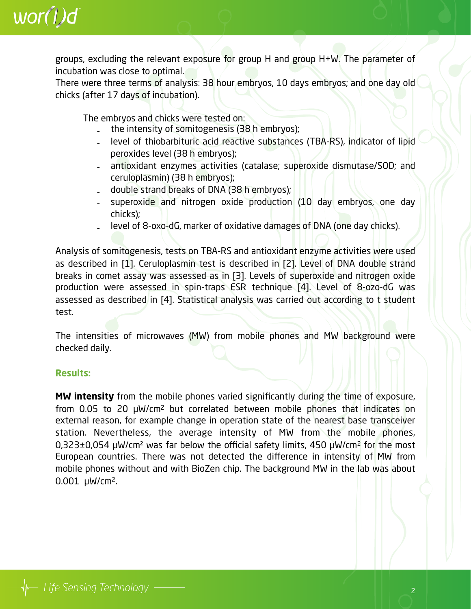

groups, excluding the relevant exposure for group H and group H+W. The parameter of incubation was close to optimal.

There were three terms of analysis: 38 hour embryos, 10 days embryos; and one day old chicks (after 17 days of incubation).

The embryos and chicks were tested on:

- the intensity of somitogenesis (38 h embryos);
- level of thiobarbituric acid reactive substances (TBA-RS), indicator of lipid peroxides level (38 h embryos);
- antioxidant enzymes activities (catalase; superoxide dismutase/SOD; and ceruloplasmin) (38 h embryos);
- double strand breaks of DNA (38 h embryos);
- superoxide and nitrogen oxide production (10 day embryos, one day chicks);
- level of 8-oxo-dG, marker of oxidative damages of DNA (one day chicks).

Analysis of somitogenesis, tests on TBA-RS and antioxidant enzyme activities were used as described in [1]. Ceruloplasmin test is described in [2]. Level of DNA double strand breaks in comet assay was assessed as in [3]. Levels of superoxide and nitrogen oxide production were assessed in spin-traps ESR technique [4]. Level of 8-ozo-dG was assessed as described in [4]. Statistical analysis was carried out according to t student test.

The intensities of microwaves (MW) from mobile phones and MW background were checked daily.

#### **Results:**

**MW intensity** from the mobile phones varied significantly during the time of exposure, from 0.05 to 20 µW/cm2 but correlated between mobile phones that indicates on external reason, for example change in operation state of the nearest base transceiver station. Nevertheless, the average intensity of MW from the mobile phones, 0,323±0,054 µW/cm² was far below the official safety limits, 450 µW/cm2 for the most European countries. There was not detected the difference in intensity of MW from mobile phones without and with BioZen chip. The background MW in the lab was about 0.001 µW/cm2.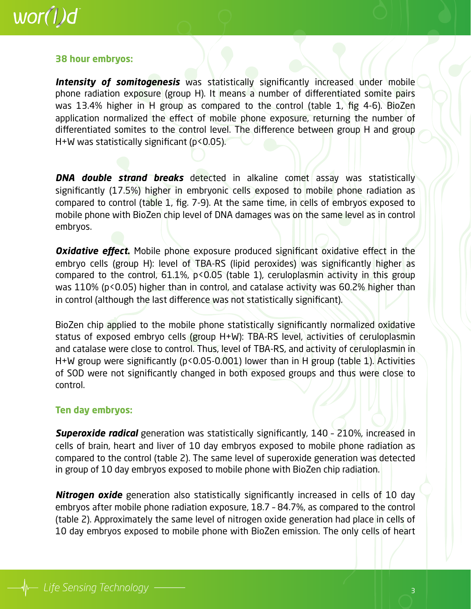### $wor(l)d$

#### **38 hour embryos:**

**Intensity of somitogenesis** was statistically significantly increased under mobile phone radiation exposure (group H). It means a number of differentiated somite pairs was 13.4% higher in H group as compared to the control (table 1, fig 4-6). BioZen application normalized the effect of mobile phone exposure, returning the number of differentiated somites to the control level. The difference between group H and group  $H+W$  was statistically significant ( $p < 0.05$ ).

**DNA double strand breaks** detected in alkaline comet assay was statistically significantly (17.5%) higher in embryonic cells exposed to mobile phone radiation as compared to control (table 1, fig. 7-9). At the same time, in cells of embryos exposed to mobile phone with BioZen chip level of DNA damages was on the same level as in control embryos.

**Oxidative effect.** Mobile phone exposure produced significant oxidative effect in the embryo cells (group H): level of TBA-RS (lipid peroxides) was significantly higher as compared to the control,  $61.1\%$ ,  $p < 0.05$  (table 1), ceruloplasmin activity in this group was 110% (p<0.05) higher than in control, and catalase activity was 60.2% higher than in control (although the last difference was not statistically significant).

BioZen chip applied to the mobile phone statistically significantly normalized oxidative status of exposed embryo cells (group H+W): TBA-RS level, activities of ceruloplasmin and catalase were close to control. Thus, level of TBA-RS, and activity of ceruloplasmin in H+W group were significantly ( $p$ <0.05-0.001) lower than in H group (table 1). Activities of SOD were not significantly changed in both exposed groups and thus were close to control.

#### **Ten day embryos:**

**Superoxide radical** generation was statistically significantly, 140 - 210%, increased in cells of brain, heart and liver of 10 day embryos exposed to mobile phone radiation as compared to the control (table 2). The same level of superoxide generation was detected in group of 10 day embryos exposed to mobile phone with BioZen chip radiation.

**Nitrogen oxide** generation also statistically significantly increased in cells of 10 day embryos after mobile phone radiation exposure, 18.7 – 84.7%, as compared to the control (table 2). Approximately the same level of nitrogen oxide generation had place in cells of 10 day embryos exposed to mobile phone with BioZen emission. The only cells of heart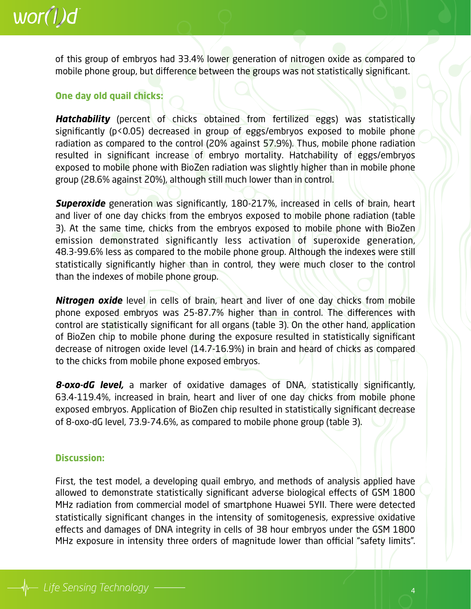of this group of embryos had 33.4% lower generation of nitrogen oxide as compared to mobile phone group, but difference between the groups was not statistically significant.

#### **One day old quail chicks:**

*Hatchability* (percent of chicks obtained from fertilized eggs) was statistically significantly (p<0.05) decreased in group of eggs/embryos exposed to mobile phone radiation as compared to the control (20% against 57.9%). Thus, mobile phone radiation resulted in significant increase of embryo mortality. Hatchability of eggs/embryos exposed to mobile phone with BioZen radiation was slightly higher than in mobile phone group (28.6% against 20%), although still much lower than in control.

**Superoxide** generation was significantly, 180-217%, increased in cells of brain, heart and liver of one day chicks from the embryos exposed to mobile phone radiation (table 3). At the same time, chicks from the embryos exposed to mobile phone with BioZen emission demonstrated significantly less activation of superoxide generation, 48.3-99.6% less as compared to the mobile phone group. Although the indexes were still statistically significantly higher than in control, they were much closer to the control than the indexes of mobile phone group.

**Nitrogen oxide** level in cells of brain, heart and liver of one day chicks from mobile phone exposed embryos was 25-87.7% higher than in control. The differences with control are statistically significant for all organs (table 3). On the other hand, application of BioZen chip to mobile phone during the exposure resulted in statistically significant decrease of nitrogen oxide level (14.7-16.9%) in brain and heard of chicks as compared to the chicks from mobile phone exposed embryos.

*8-oxo-dG level,* a marker of oxidative damages of DNA, statistically significantly, 63.4-119.4%, increased in brain, heart and liver of one day chicks from mobile phone exposed embryos. Application of BioZen chip resulted in statistically significant decrease of 8-oxo-dG level, 73.9-74.6%, as compared to mobile phone group (table 3).

#### **Discussion:**

First, the test model, a developing quail embryo, and methods of analysis applied have allowed to demonstrate statistically significant adverse biological effects of GSM 1800 MHz radiation from commercial model of smartphone Huawei 5YII. There were detected statistically significant changes in the intensity of somitogenesis, expressive oxidative effects and damages of DNA integrity in cells of 38 hour embryos under the GSM 1800 MHz exposure in intensity three orders of magnitude lower than official "safety limits".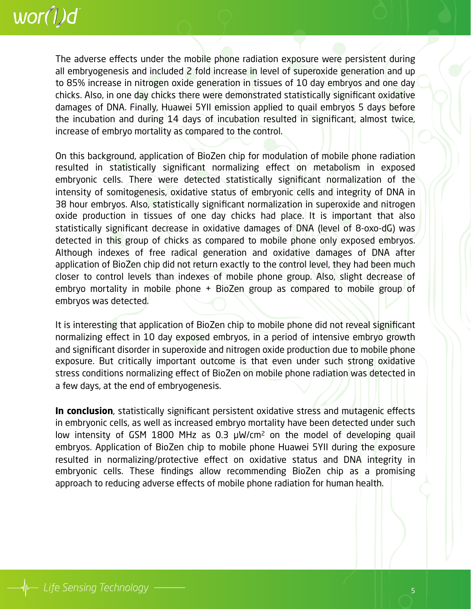

The adverse effects under the mobile phone radiation exposure were persistent during all embryogenesis and included 2 fold increase in level of superoxide generation and up to 85% increase in nitrogen oxide generation in tissues of 10 day embryos and one day chicks. Also, in one day chicks there were demonstrated statistically significant oxidative damages of DNA. Finally, Huawei 5YII emission applied to quail embryos 5 days before the incubation and during 14 days of incubation resulted in significant, almost twice, increase of embryo mortality as compared to the control.

On this background, application of BioZen chip for modulation of mobile phone radiation resulted in statistically significant normalizing effect on metabolism in exposed embryonic cells. There were detected statistically significant normalization of the intensity of somitogenesis, oxidative status of embryonic cells and integrity of DNA in 38 hour embryos. Also, statistically significant normalization in superoxide and nitrogen oxide production in tissues of one day chicks had place. It is important that also statistically significant decrease in oxidative damages of DNA (level of 8-oxo-dG) was detected in this group of chicks as compared to mobile phone only exposed embryos. Although indexes of free radical generation and oxidative damages of DNA after application of BioZen chip did not return exactly to the control level, they had been much closer to control levels than indexes of mobile phone group. Also, slight decrease of embryo mortality in mobile phone + BioZen group as compared to mobile group of embryos was detected.

It is interesting that application of BioZen chip to mobile phone did not reveal significant normalizing effect in 10 day exposed embryos, in a period of intensive embryo growth and significant disorder in superoxide and nitrogen oxide production due to mobile phone exposure. But critically important outcome is that even under such strong oxidative stress conditions normalizing effect of BioZen on mobile phone radiation was detected in a few days, at the end of embryogenesis.

**In conclusion**, statistically significant persistent oxidative stress and mutagenic effects in embryonic cells, as well as increased embryo mortality have been detected under such low intensity of GSM 1800 MHz as 0.3 µW/cm2 on the model of developing quail embryos. Application of BioZen chip to mobile phone Huawei 5YII during the exposure resulted in normalizing/protective effect on oxidative status and DNA integrity in embryonic cells. These findings allow recommending BioZen chip as a promising approach to reducing adverse effects of mobile phone radiation for human health.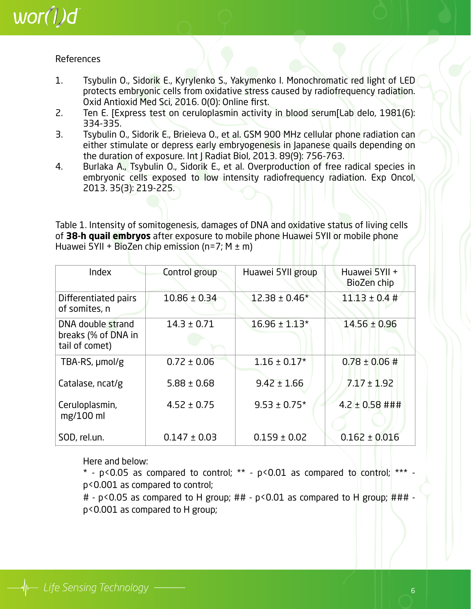

#### References

- 1. Tsybulin O., Sidorik E., Kyrylenko S., Yakymenko I. Monochromatic red light of LED protects embryonic cells from oxidative stress caused by radiofrequency radiation. Oxid Antioxid Med Sci, 2016. 0(0): Online first.
- 2. Ten E. [Express test on ceruloplasmin activity in blood serum[Lab delo, 1981(6): 334-335.
- 3. Tsybulin O., Sidorik E., Brieieva O., et al. GSM 900 MHz cellular phone radiation can either stimulate or depress early embryogenesis in Japanese quails depending on the duration of exposure. Int J Radiat Biol, 2013. 89(9): 756-763.
- 4. Burlaka A., Tsybulin O., Sidorik E., et al. Overproduction of free radical species in embryonic cells exposed to low intensity radiofrequency radiation. Exp Oncol, 2013. 35(3): 219-225.

Table 1. Intensity of somitogenesis, damages of DNA and oxidative status of living cells of **38-h quail embryos** after exposure to mobile phone Huawei 5YII or mobile phone Huawei 5YII + BioZen chip emission (n=7;  $M \pm m$ )

| Index                                                      | Control group    | Huawei 5Yll group | Huawei 5YII +<br>BioZen chip |
|------------------------------------------------------------|------------------|-------------------|------------------------------|
| Differentiated pairs<br>of somites, n                      | $10.86 \pm 0.34$ | $12.38 \pm 0.46*$ | $11.13 \pm 0.4 \#$           |
| DNA double strand<br>breaks (% of DNA in<br>tail of comet) | $14.3 \pm 0.71$  | $16.96 \pm 1.13*$ | $14.56 \pm 0.96$             |
| TBA-RS, µmol/g                                             | $0.72 \pm 0.06$  | $1.16 \pm 0.17*$  | $0.78 \pm 0.06 \ \text{\#}$  |
| Catalase, ncat/g                                           | $5.88 \pm 0.68$  | $9.42 \pm 1.66$   | $7.17 \pm 1.92$              |
| Ceruloplasmin,<br>$mg/100$ ml                              | $4.52 \pm 0.75$  | $9.53 \pm 0.75$ * | $4.2 \pm 0.58$ ###           |
| SOD, rel.un.                                               | $0.147 \pm 0.03$ | $0.159 \pm 0.02$  | $0.162 \pm 0.016$            |

Here and below:

 $*$  - p<0.05 as compared to control;  $**$  - p<0.01 as compared to control;  $***$ p<0.001 as compared to control;

# - p<0.05 as compared to H group; ## - p<0.01 as compared to H group; ### p<0.001 as compared to H group;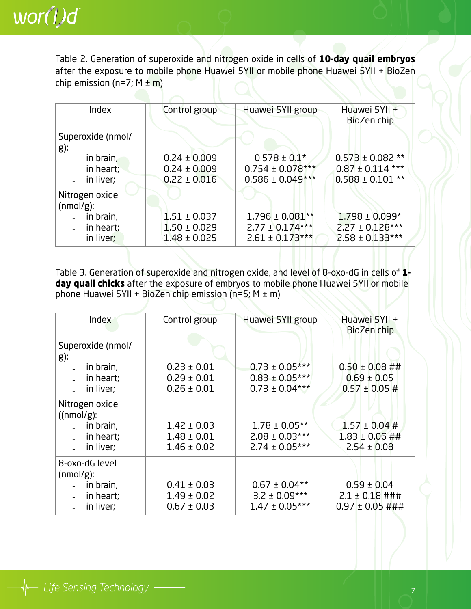

Table 2. Generation of superoxide and nitrogen oxide in cells of **10-day quail embryos** after the exposure to mobile phone Huawei 5YII or mobile phone Huawei 5YII + BioZen chip emission (n=7;  $M \pm m$ )

| Index                          | Control group    | Huawei 5YII group    | Huawei 5YII +<br>BioZen chip |
|--------------------------------|------------------|----------------------|------------------------------|
| Superoxide (nmol/<br>g):       |                  |                      |                              |
| in brain;                      | $0.24 \pm 0.009$ | $0.578 \pm 0.1*$     | $0.573 \pm 0.082$ **         |
| in heart;                      | $0.24 \pm 0.009$ | $0.754 \pm 0.078***$ | $0.87 \pm 0.114$ ***         |
|                                |                  |                      |                              |
| in liver;                      | $0.22 \pm 0.016$ | $0.586 \pm 0.049***$ | $0.588 \pm 0.101$ **         |
| Nitrogen oxide<br>$(mmol/g)$ : |                  |                      |                              |
| in brain;                      | $1.51 \pm 0.037$ | $1.796 \pm 0.081**$  | $1.798 \pm 0.099*$           |
| in heart;                      | $1.50 \pm 0.029$ | $2.77 \pm 0.174***$  | $2.27 \pm 0.128***$          |
|                                |                  |                      |                              |
| in liver;                      | $1.48 \pm 0.025$ | $2.61 \pm 0.173***$  | $2.58 \pm 0.133***$          |

Table 3. Generation of superoxide and nitrogen oxide, and level of 8-oxo-dG in cells of **1 day quail chicks** after the exposure of embryos to mobile phone Huawei 5YII or mobile phone Huawei 5YII + BioZen chip emission (n=5;  $M \pm m$ )

| Index                                                                 | Control group                                         | Huawei 5YII group                                              | Huawei 5YII +<br>BioZen chip                                       |  |  |
|-----------------------------------------------------------------------|-------------------------------------------------------|----------------------------------------------------------------|--------------------------------------------------------------------|--|--|
| Superoxide (nmol/<br>g):                                              |                                                       |                                                                |                                                                    |  |  |
| in brain;<br>in heart;<br>in liver;                                   | $0.23 \pm 0.01$<br>$0.29 \pm 0.01$<br>$0.26 \pm 0.01$ | $0.73 \pm 0.05***$<br>$0.83 \pm 0.05***$<br>$0.73 \pm 0.04***$ | $0.50 \pm 0.08$ ##<br>$0.69 \pm 0.05$<br>$0.57 \pm 0.05 \text{ H}$ |  |  |
| Nitrogen oxide<br>((nmol/g):<br>in brain;<br>in heart;<br>in liver;   | $1.42 \pm 0.03$<br>$1.48 \pm 0.01$<br>$1.46 \pm 0.02$ | $1.78 \pm 0.05**$<br>$2.08 \pm 0.03***$<br>$2.74 \pm 0.05***$  | $1.57 \pm 0.04 \#$<br>$1.83 \pm 0.06$ ##<br>$2.54 \pm 0.08$        |  |  |
| 8-oxo-dG level<br>$(mmol/g)$ :<br>in brain;<br>in heart;<br>in liver; | $0.41 \pm 0.03$<br>$1.49 \pm 0.02$<br>$0.67 \pm 0.03$ | $0.67 \pm 0.04**$<br>$3.2 \pm 0.09***$<br>$1.47 \pm 0.05***$   | $0.59 \pm 0.04$<br>$2.1 \pm 0.18$ ###<br>$0.97 \pm 0.05$ ###       |  |  |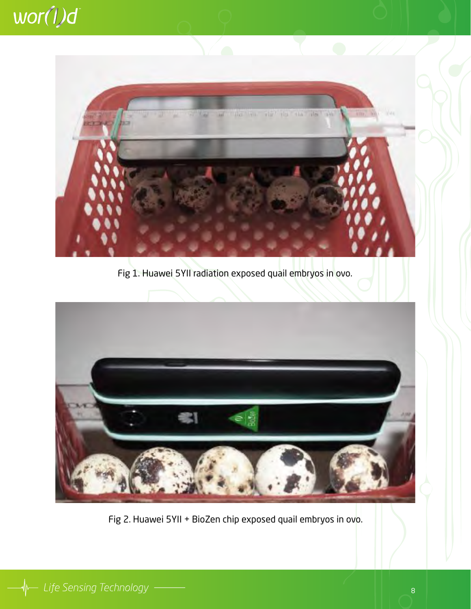

Fig 1. Huawei 5YII radiation exposed quail embryos in ovo.



Fig 2. Huawei 5YII + BioZen chip exposed quail embryos in ovo.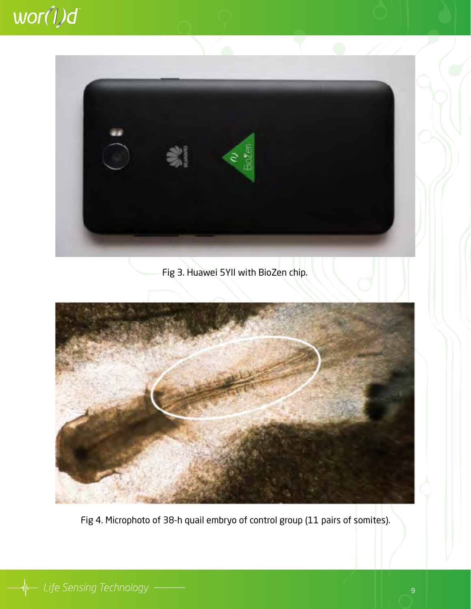### wor(1)d



### Fig 3. Huawei 5YII with BioZen chip.



Fig 4. Microphoto of 38-h quail embryo of control group (11 pairs of somites).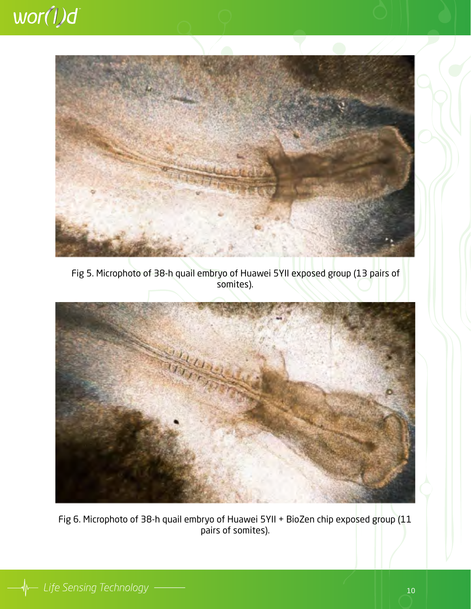

Fig 5. Microphoto of 38-h quail embryo of Huawei 5YII exposed group (13 pairs of somites).



Fig 6. Microphoto of 38-h quail embryo of Huawei 5YII + BioZen chip exposed group (11 pairs of somites).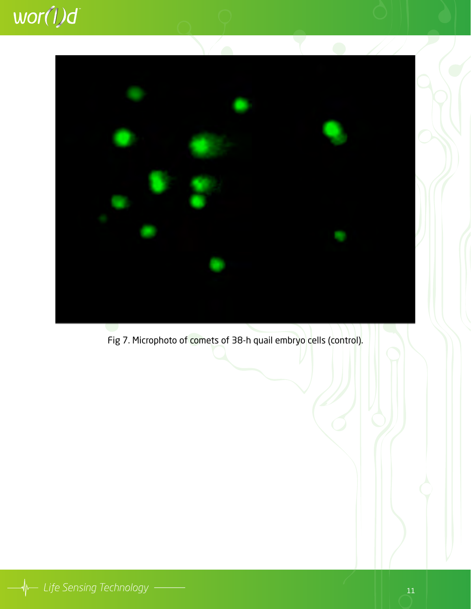

Fig 7. Microphoto of comets of 38-h quail embryo cells (control).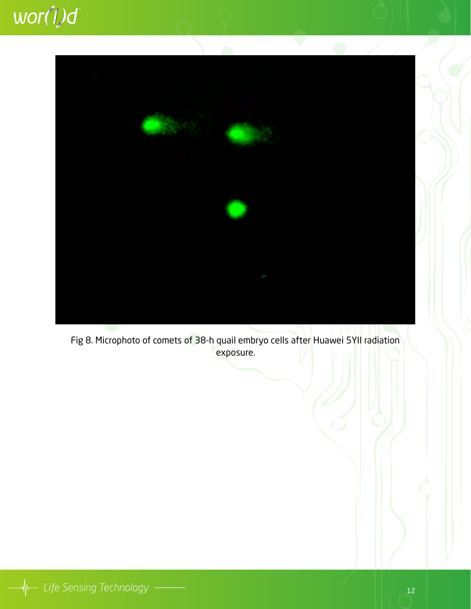## wor(1)d



Fig 8. Microphoto of comets of 38-h quail embryo cells after Huawei 5YII radiation exposure.